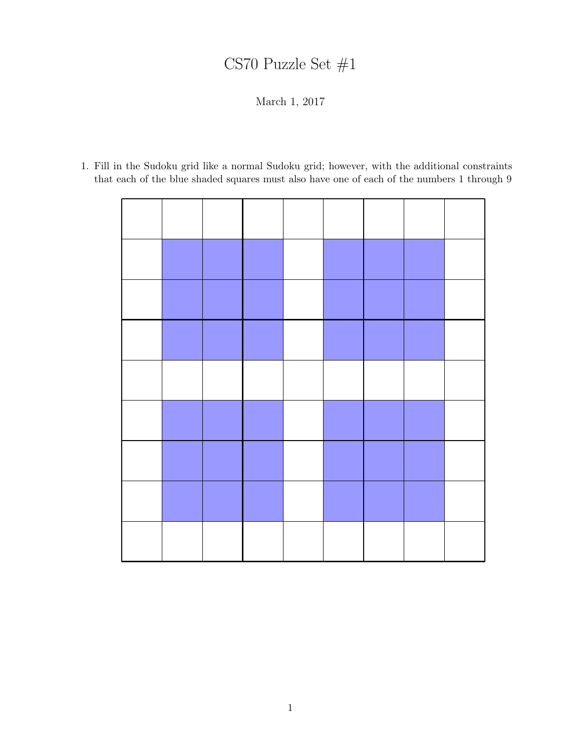## CS70 Puzzle Set #1

March 1, 2017

1. Fill in the Sudoku grid like a normal Sudoku grid; however, with the additional constraints that each of the blue shaded squares must also have one of each of the numbers 1 through 9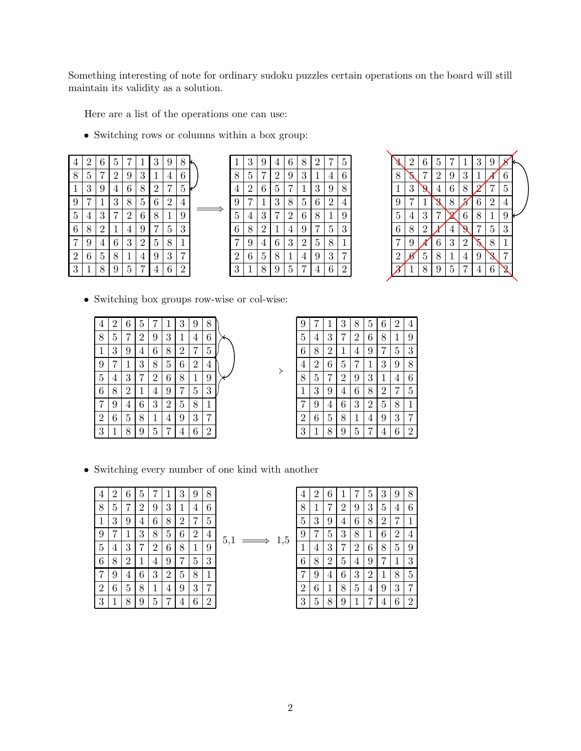Something interesting of note for ordinary sudoku puzzles certain operations on the board will still maintain its validity as a solution.

Here are a list of the operations one can use:

• Switching rows or columns within a box group:

| $\overline{4}$ | 2              | 6              | 5              |                | 1                | 3              | 9              | 8              |   |
|----------------|----------------|----------------|----------------|----------------|------------------|----------------|----------------|----------------|---|
| 8              | 5              | 7              | $\overline{2}$ | 9              | 3                | 1              | 4              | 6              |   |
| $\mathbf{1}$   | 3              | 9              | $\overline{4}$ | 6              | 8                | $\overline{2}$ | 7              | $\overline{5}$ |   |
| 9              | 7              | 1              | 3              | 8              | $\overline{5}$   | 6              | $\overline{2}$ | 4              | ċ |
| 5              | $\overline{4}$ | 3              | 7              | $\overline{2}$ | $\boldsymbol{6}$ | 8              | 1              | 9              |   |
| 6              | 8              | $\overline{2}$ | 1              | $\overline{4}$ | 9                |                | 5              | 3              |   |
| 7              | 9              | $\overline{4}$ | 6              | 3              | $\overline{2}$   | 5              | 8              | $\mathbf{1}$   |   |
| $\overline{2}$ | 6              | 5              | 8              | $\mathbf 1$    | 4                | 9              | 3              | 7              |   |
| 3              | 1              | 8              | 9              | 5              |                  | 4              | 6              | $\overline{2}$ |   |

| 1              | 3 | 9              | $\overline{4}$ | 6              | 8              | $\overline{2}$ |                | 5              |
|----------------|---|----------------|----------------|----------------|----------------|----------------|----------------|----------------|
| 8              | 5 | 7              | $\overline{2}$ | 9              | 3              | 1              | 4              | 6              |
| $\overline{4}$ | 2 | 6              | 5              | 7              | 1              | 3              | 9              | 8              |
| 9              |   | 1              | 3              | 8              | 5              | 6              | $\overline{2}$ | 4              |
| 5              | 4 | 3              | 7              | $\overline{2}$ | 6              | 8              | 1              | 9              |
| 6              | 8 | $\overline{2}$ | 1              | $\overline{4}$ | 9              | 7              | 5              | 3              |
|                | 9 | 4              | 6              | 3              | $\overline{2}$ | 5              | 8              | 1              |
| $\overline{2}$ | 6 | 5              | 8              | 1              | $\overline{4}$ | 9              | 3              |                |
|                |   | 8              | 9              | 5              |                | 4              | 6              | $\overline{2}$ |



• Switching box groups row-wise or col-wise:



| 9              |   | 1              | 3              | 8              | 5              | 6              | $\overline{2}$ | 4              |
|----------------|---|----------------|----------------|----------------|----------------|----------------|----------------|----------------|
| 5              | 4 | 3              | 7              | $\overline{2}$ | 6              | 8              | 1              | 9              |
| 6              | 8 | $\overline{2}$ | 1              | 4              | 9              | 7              | 5              | 3              |
| 4              | 2 | 6              | 5              | 7              | 1              | 3              | 9              | 8              |
| 8              | 5 | 7              | $\overline{2}$ | 9              | 3              | 1              | 4              | 6              |
| $\mathbf{1}$   | 3 | 9              | 4              | 6              | 8              | $\overline{2}$ | 7              | 5              |
|                | 9 | 4              | 6              | 3              | $\overline{2}$ | 5              | 8              | $\,1\,$        |
| $\overline{2}$ | 6 | 5              | 8              | 1              | $\overline{4}$ | 9              | 3              | 7              |
| 3              |   | 8              | 9              | 5              |                | $\overline{4}$ | 6              | $\overline{2}$ |

• Switching every number of one kind with another

| 4              | 2 | 6              | 5              |                | 1              | 3              | 9              | 8              |  |
|----------------|---|----------------|----------------|----------------|----------------|----------------|----------------|----------------|--|
| 8              | 5 | 7              | $\overline{2}$ | 9              | 3              | 1              | 4              | 6              |  |
| 1              | 3 | 9              | 4              | 6              | 8              | $\overline{2}$ |                | 5              |  |
| 9              |   | 1              | 3              | 8              | 5              | 6              | $\overline{2}$ | 4              |  |
| 5              | 4 | 3              | 7              | $\overline{2}$ | 6              | 8              | 1              | 9              |  |
| 6              | 8 | $\overline{2}$ | 1              | $\overline{4}$ | 9              | 7              | 5              | 3              |  |
|                | 9 | 4              | 6              | 3              | $\overline{2}$ | 5              | 8              | $\mathbf{1}$   |  |
| $\overline{2}$ | 6 | 5              | 8              | 1              | $\overline{4}$ | 9              | 3              | 7              |  |
| 3              | 1 | 8              | 9              | 5              |                | 4              | 6              | $\overline{2}$ |  |

$$
5.1 \longrightarrow 1.5
$$

| $\overline{4}$ | $\overline{2}$ | 6              |                |                | 5              | 3              | g              |                |
|----------------|----------------|----------------|----------------|----------------|----------------|----------------|----------------|----------------|
| 8              | 1              |                | 2              | 9              | 3              | 5              | $\overline{4}$ | 6              |
| 5              | 3              | 9              | $\overline{4}$ | 6              | 8              | $\overline{2}$ |                | $\mathbf{1}$   |
| 9              |                | 5              | 3              | 8              | 1              | 6              | 2              | $\overline{4}$ |
| 1              | 4              | 3              | 7              | $\overline{2}$ | 6              | 8              | 5              | 9              |
| 6              | 8              | $\overline{2}$ | 5              | 4              | 9              |                | 1              | 3              |
| 7              | 9              | 4              | 6              | 3              | $\overline{2}$ |                | 8              | 5              |
| $\overline{2}$ | 6              | 1              | 8              | 5              | $\overline{4}$ | 9              | 3              | 7              |
| 3              | 5              | 8              | 9              |                |                |                | 6              | $\overline{2}$ |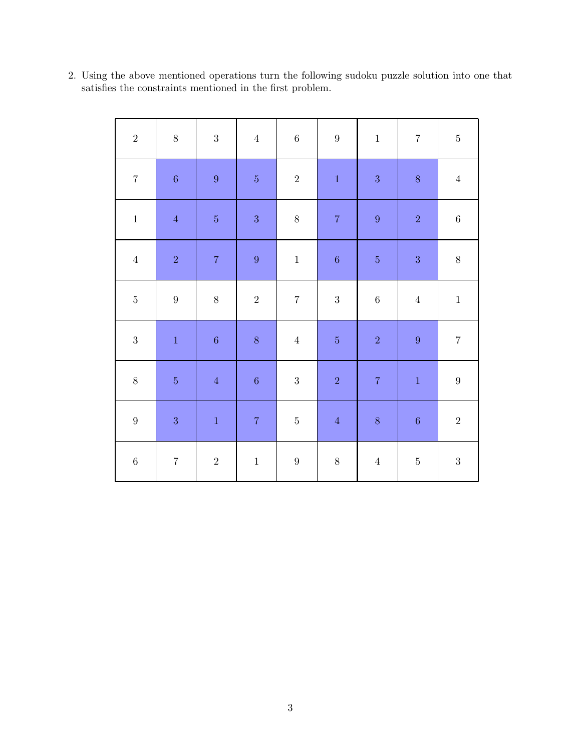| $\sqrt{2}$       | $8\,$            | $\sqrt{3}$       | $\boldsymbol{4}$ | $\,6\,$          | $\boldsymbol{9}$ | $\,1\,$          | $\,7$            | $\bf 5$          |
|------------------|------------------|------------------|------------------|------------------|------------------|------------------|------------------|------------------|
| $\,7$            | $\,6\,$          | $\boldsymbol{9}$ | $\bf 5$          | $\,2$            | $\,1\,$          | $\sqrt{3}$       | $8\,$            | $\boldsymbol{4}$ |
| $\,1\,$          | $\sqrt{4}$       | $\bf 5$          | $\sqrt{3}$       | $8\,$            | $\boldsymbol{7}$ | $\boldsymbol{9}$ | $\sqrt{2}$       | $\,6\,$          |
| $\,4\,$          | $\sqrt{2}$       | $\bf 7$          | $\boldsymbol{9}$ | $\,1\,$          | $\,6\,$          | $\bf 5$          | $\sqrt{3}$       | $8\,$            |
| $\bf 5$          | $\boldsymbol{9}$ | $8\,$            | $\,2$            | $\,7$            | $\sqrt{3}$       | $\,6\,$          | $\boldsymbol{4}$ | $\,1\,$          |
| $\sqrt{3}$       | $\,1\,$          | $\,6\,$          | $8\,$            | $\overline{4}$   | $\bf 5$          | $\,2$            | $\boldsymbol{9}$ | $\,7$            |
| $8\,$            | $\bf 5$          | $\sqrt{4}$       | $\sqrt{6}$       | $\sqrt{3}$       | $\sqrt{2}$       | $\overline{7}$   | $\mathbf 1$      | $\boldsymbol{9}$ |
| $\boldsymbol{9}$ | $\sqrt{3}$       | $\,1\,$          | $\boldsymbol{7}$ | $\bf 5$          | $\sqrt{4}$       | $8\,$            | $\,6\,$          | $\sqrt{2}$       |
| $\,6\,$          | $\,7$            | $\,2$            | $\,1\,$          | $\boldsymbol{9}$ | $8\,$            | $\boldsymbol{4}$ | $\bf 5$          | $\sqrt{3}$       |

2. Using the above mentioned operations turn the following sudoku puzzle solution into one that satisfies the constraints mentioned in the first problem.